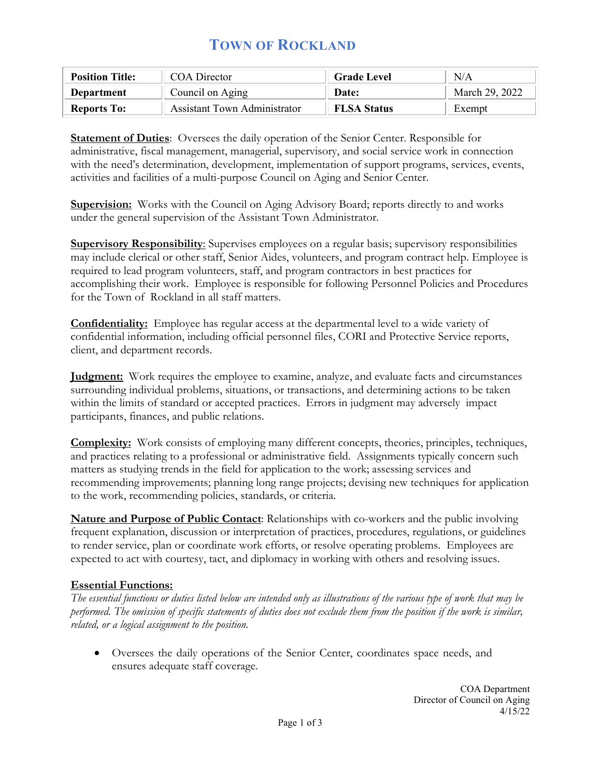# **TOWN OF ROCKLAND**

| <b>Position Title:</b> | COA Director                 | <b>Grade Level</b> | N/A            |
|------------------------|------------------------------|--------------------|----------------|
| Department             | Council on Aging             | Date:              | March 29, 2022 |
| <b>Reports To:</b>     | Assistant Town Administrator | <b>FLSA Status</b> | Exempt         |

**Statement of Duties**: Oversees the daily operation of the Senior Center. Responsible for administrative, fiscal management, managerial, supervisory, and social service work in connection with the need's determination, development, implementation of support programs, services, events, activities and facilities of a multi-purpose Council on Aging and Senior Center.

**Supervision:** Works with the Council on Aging Advisory Board; reports directly to and works under the general supervision of the Assistant Town Administrator.

**Supervisory Responsibility**: Supervises employees on a regular basis; supervisory responsibilities may include clerical or other staff, Senior Aides, volunteers, and program contract help. Employee is required to lead program volunteers, staff, and program contractors in best practices for accomplishing their work. Employee is responsible for following Personnel Policies and Procedures for the Town of Rockland in all staff matters.

**Confidentiality:** Employee has regular access at the departmental level to a wide variety of confidential information, including official personnel files, CORI and Protective Service reports, client, and department records.

**Judgment:** Work requires the employee to examine, analyze, and evaluate facts and circumstances surrounding individual problems, situations, or transactions, and determining actions to be taken within the limits of standard or accepted practices. Errors in judgment may adversely impact participants, finances, and public relations.

**Complexity:** Work consists of employing many different concepts, theories, principles, techniques, and practices relating to a professional or administrative field. Assignments typically concern such matters as studying trends in the field for application to the work; assessing services and recommending improvements; planning long range projects; devising new techniques for application to the work, recommending policies, standards, or criteria.

**Nature and Purpose of Public Contact**: Relationships with co-workers and the public involving frequent explanation, discussion or interpretation of practices, procedures, regulations, or guidelines to render service, plan or coordinate work efforts, or resolve operating problems. Employees are expected to act with courtesy, tact, and diplomacy in working with others and resolving issues.

### **Essential Functions:**

*The essential functions or duties listed below are intended only as illustrations of the various type of work that may be performed. The omission of specific statements of duties does not exclude them from the position if the work is similar, related, or a logical assignment to the position.*

• Oversees the daily operations of the Senior Center, coordinates space needs, and ensures adequate staff coverage.

> COA Department Director of Council on Aging 4/15/22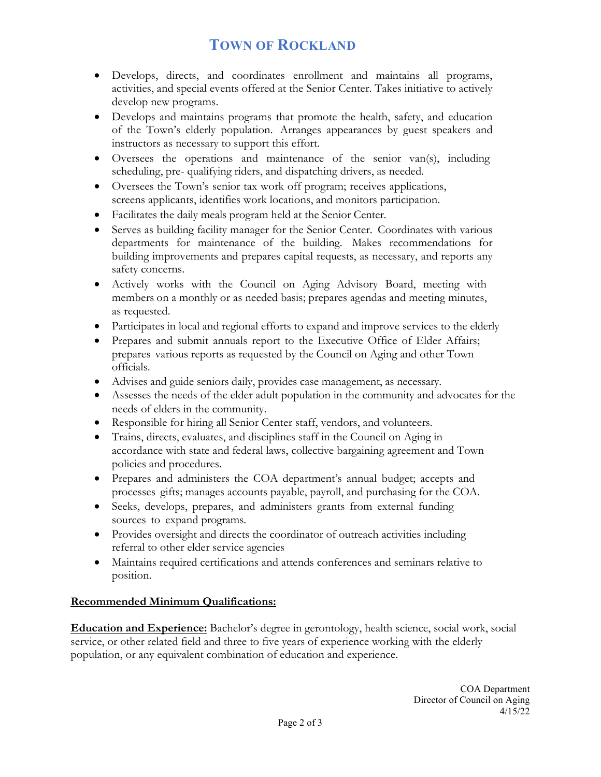# **TOWN OF ROCKLAND**

- Develops, directs, and coordinates enrollment and maintains all programs, activities, and special events offered at the Senior Center. Takes initiative to actively develop new programs.
- Develops and maintains programs that promote the health, safety, and education of the Town's elderly population. Arranges appearances by guest speakers and instructors as necessary to support this effort.
- Oversees the operations and maintenance of the senior van(s), including scheduling, pre- qualifying riders, and dispatching drivers, as needed.
- Oversees the Town's senior tax work off program; receives applications, screens applicants, identifies work locations, and monitors participation.
- Facilitates the daily meals program held at the Senior Center.
- Serves as building facility manager for the Senior Center. Coordinates with various departments for maintenance of the building. Makes recommendations for building improvements and prepares capital requests, as necessary, and reports any safety concerns.
- Actively works with the Council on Aging Advisory Board, meeting with members on a monthly or as needed basis; prepares agendas and meeting minutes, as requested.
- Participates in local and regional efforts to expand and improve services to the elderly
- Prepares and submit annuals report to the Executive Office of Elder Affairs; prepares various reports as requested by the Council on Aging and other Town officials.
- Advises and guide seniors daily, provides case management, as necessary.
- Assesses the needs of the elder adult population in the community and advocates for the needs of elders in the community.
- Responsible for hiring all Senior Center staff, vendors, and volunteers.
- Trains, directs, evaluates, and disciplines staff in the Council on Aging in accordance with state and federal laws, collective bargaining agreement and Town policies and procedures.
- Prepares and administers the COA department's annual budget; accepts and processes gifts; manages accounts payable, payroll, and purchasing for the COA.
- Seeks, develops, prepares, and administers grants from external funding sources to expand programs.
- Provides oversight and directs the coordinator of outreach activities including referral to other elder service agencies
- Maintains required certifications and attends conferences and seminars relative to position.

### **Recommended Minimum Qualifications:**

**Education and Experience:** Bachelor's degree in gerontology, health science, social work, social service, or other related field and three to five years of experience working with the elderly population, or any equivalent combination of education and experience.